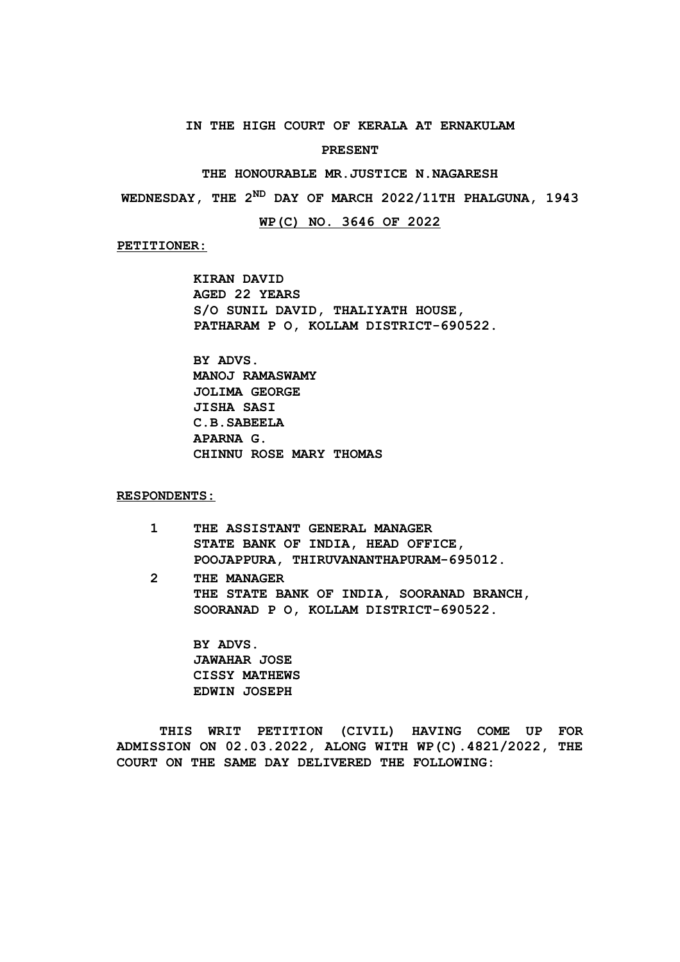## **IN THE HIGH COURT OF KERALA AT ERNAKULAM**

#### **PRESENT**

#### **THE HONOURABLE MR.JUSTICE N.NAGARESH**

**WEDNESDAY, THE 2ND DAY OF MARCH 2022/11TH PHALGUNA, 1943**

### **WP(C) NO. 3646 OF 2022**

#### **PETITIONER:**

**KIRAN DAVID AGED 22 YEARS S/O SUNIL DAVID, THALIYATH HOUSE, PATHARAM P O, KOLLAM DISTRICT-690522.**

**BY ADVS. MANOJ RAMASWAMY JOLIMA GEORGE JISHA SASI C.B.SABEELA APARNA G. CHINNU ROSE MARY THOMAS**

## **RESPONDENTS:**

- **1 THE ASSISTANT GENERAL MANAGER STATE BANK OF INDIA, HEAD OFFICE, POOJAPPURA, THIRUVANANTHAPURAM-695012.**
- **2 THE MANAGER THE STATE BANK OF INDIA, SOORANAD BRANCH, SOORANAD P O, KOLLAM DISTRICT-690522.**

**BY ADVS. JAWAHAR JOSE CISSY MATHEWS EDWIN JOSEPH**

**THIS WRIT PETITION (CIVIL) HAVING COME UP FOR ADMISSION ON 02.03.2022, ALONG WITH WP(C).4821/2022, THE COURT ON THE SAME DAY DELIVERED THE FOLLOWING:**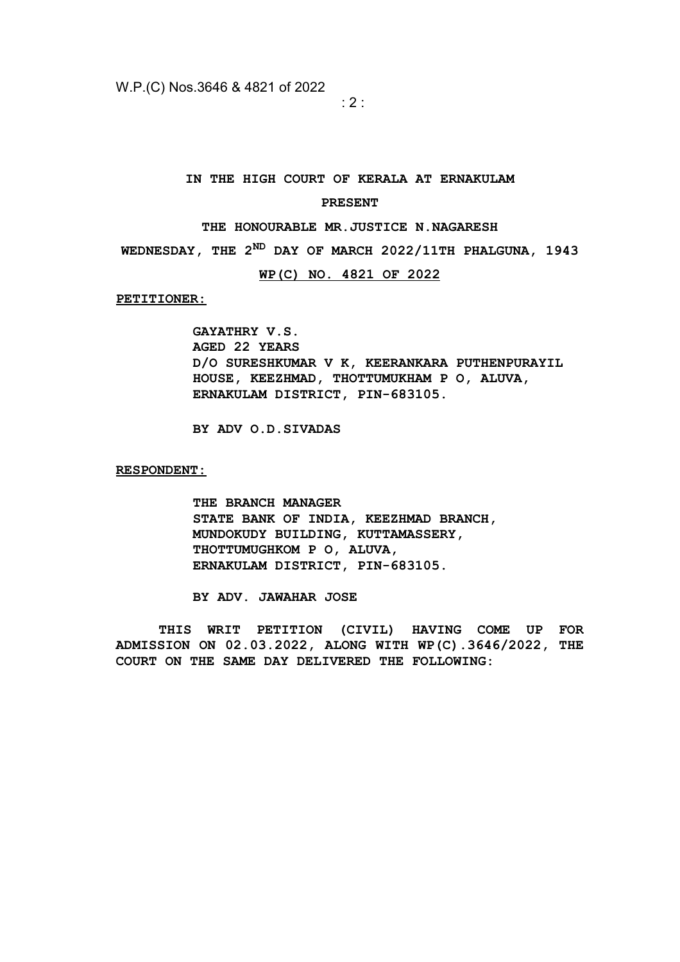$\cdot$  2  $\cdot$ 

#### **IN THE HIGH COURT OF KERALA AT ERNAKULAM**

#### **PRESENT**

#### **THE HONOURABLE MR.JUSTICE N.NAGARESH**

**WEDNESDAY, THE 2ND DAY OF MARCH 2022/11TH PHALGUNA, 1943**

# **WP(C) NO. 4821 OF 2022**

**PETITIONER:**

**GAYATHRY V.S. AGED 22 YEARS D/O SURESHKUMAR V K, KEERANKARA PUTHENPURAYIL HOUSE, KEEZHMAD, THOTTUMUKHAM P O, ALUVA, ERNAKULAM DISTRICT, PIN-683105.**

**BY ADV O.D.SIVADAS**

**RESPONDENT:**

**THE BRANCH MANAGER STATE BANK OF INDIA, KEEZHMAD BRANCH, MUNDOKUDY BUILDING, KUTTAMASSERY, THOTTUMUGHKOM P O, ALUVA, ERNAKULAM DISTRICT, PIN-683105.**

**BY ADV. JAWAHAR JOSE**

**THIS WRIT PETITION (CIVIL) HAVING COME UP FOR ADMISSION ON 02.03.2022, ALONG WITH WP(C).3646/2022, THE COURT ON THE SAME DAY DELIVERED THE FOLLOWING:**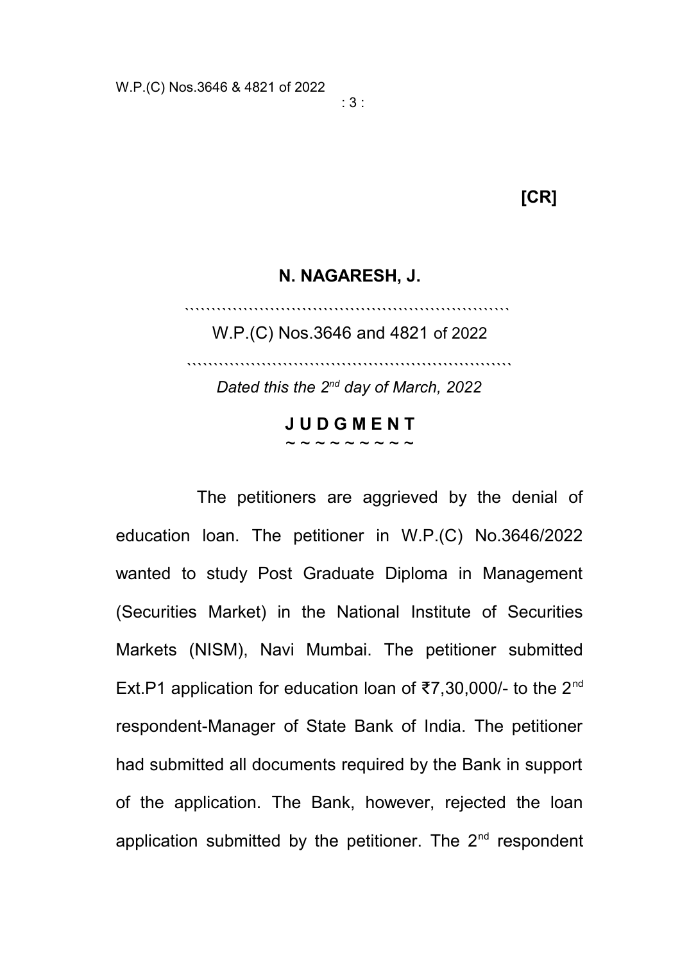# **[CR]**

# **N. NAGARESH, J.**

`````````````````````````````````````````````````````````````

W.P.(C) Nos.3646 and 4821 of 2022

`````````````````````````````````````````````````````````````

*Dated this the 2nd day of March, 2022*

# **J U D G M E N T**  $\sim$   $\sim$   $\sim$   $\sim$   $\sim$   $\sim$   $\sim$   $\sim$

The petitioners are aggrieved by the denial of education loan. The petitioner in W.P.(C) No.3646/2022 wanted to study Post Graduate Diploma in Management (Securities Market) in the National Institute of Securities Markets (NISM), Navi Mumbai. The petitioner submitted Ext.P1 application for education loan of ₹7,30,000/- to the 2nd respondent-Manager of State Bank of India. The petitioner had submitted all documents required by the Bank in support of the application. The Bank, however, rejected the loan application submitted by the petitioner. The  $2<sup>nd</sup>$  respondent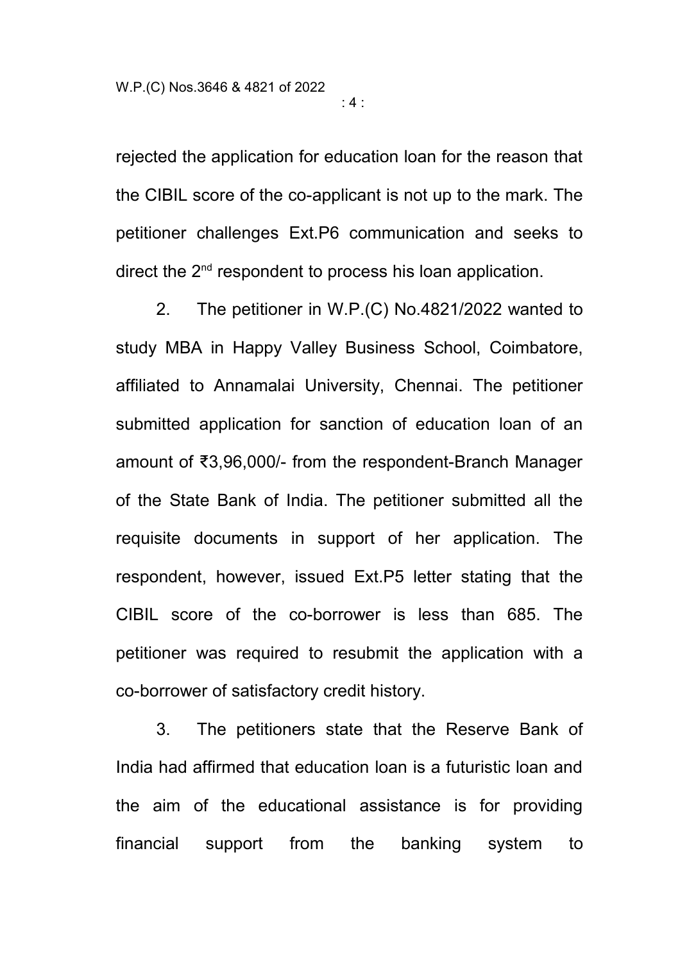rejected the application for education loan for the reason that the CIBIL score of the co-applicant is not up to the mark. The petitioner challenges Ext.P6 communication and seeks to direct the 2<sup>nd</sup> respondent to process his loan application.

: 4 :

2. The petitioner in W.P.(C) No.4821/2022 wanted to study MBA in Happy Valley Business School, Coimbatore, affiliated to Annamalai University, Chennai. The petitioner submitted application for sanction of education loan of an amount of ₹3,96,000/- from the respondent-Branch Manager of the State Bank of India. The petitioner submitted all the requisite documents in support of her application. The respondent, however, issued Ext.P5 letter stating that the CIBIL score of the co-borrower is less than 685. The petitioner was required to resubmit the application with a co-borrower of satisfactory credit history.

3. The petitioners state that the Reserve Bank of India had affirmed that education loan is a futuristic loan and the aim of the educational assistance is for providing financial support from the banking system to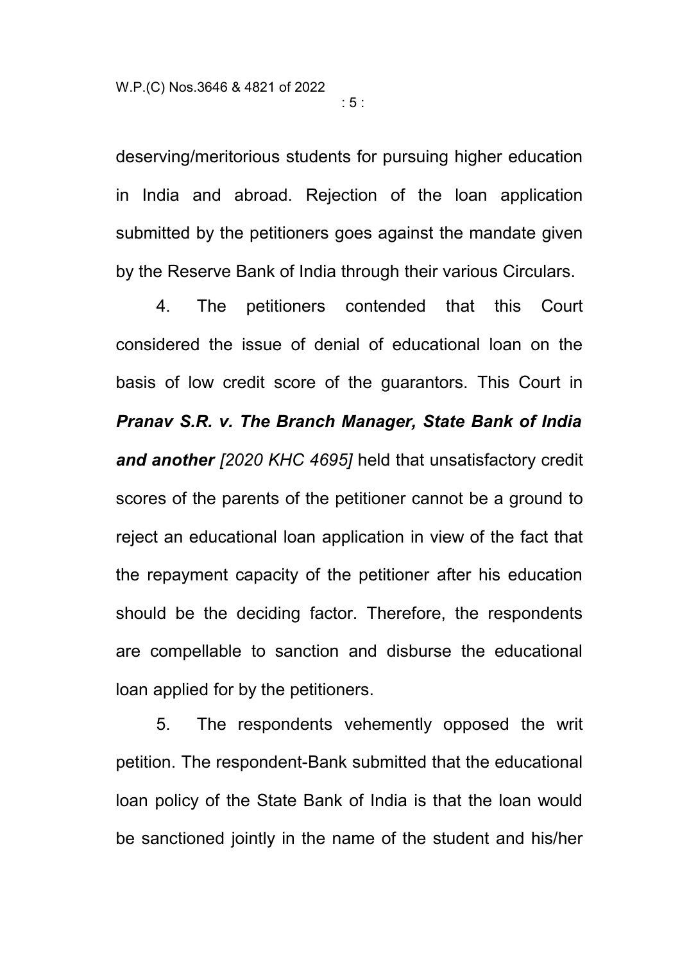deserving/meritorious students for pursuing higher education in India and abroad. Rejection of the loan application submitted by the petitioners goes against the mandate given by the Reserve Bank of India through their various Circulars.

4. The petitioners contended that this Court considered the issue of denial of educational loan on the basis of low credit score of the guarantors. This Court in *Pranav S.R. v. The Branch Manager, State Bank of India and another [2020 KHC 4695]* held that unsatisfactory credit scores of the parents of the petitioner cannot be a ground to reject an educational loan application in view of the fact that the repayment capacity of the petitioner after his education should be the deciding factor. Therefore, the respondents are compellable to sanction and disburse the educational loan applied for by the petitioners.

5. The respondents vehemently opposed the writ petition. The respondent-Bank submitted that the educational loan policy of the State Bank of India is that the loan would be sanctioned jointly in the name of the student and his/her

 $\cdot$  5  $\cdot$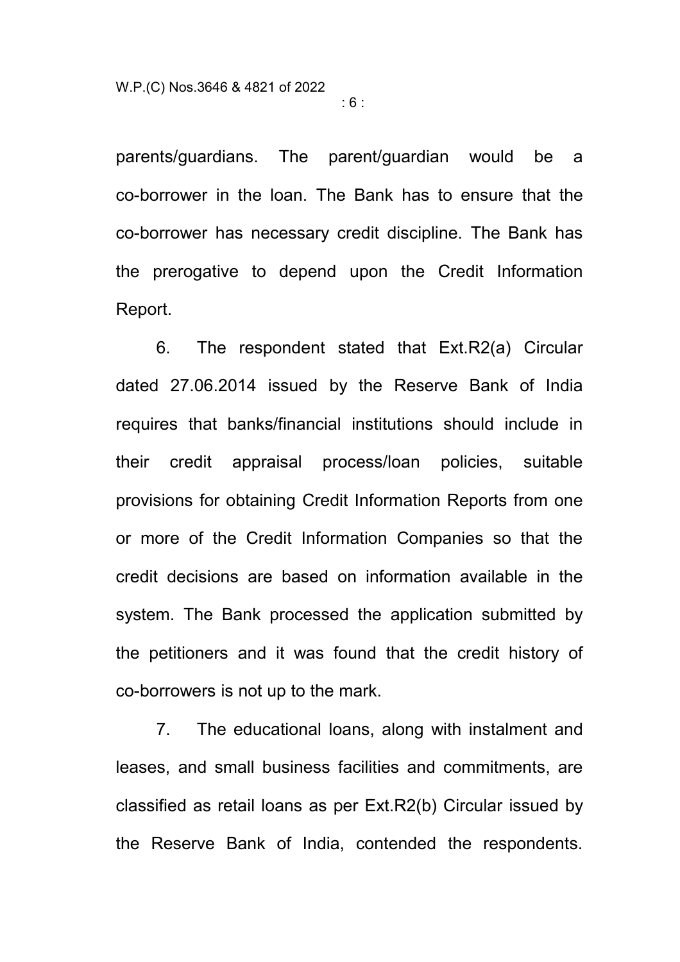parents/guardians. The parent/guardian would be a co-borrower in the loan. The Bank has to ensure that the co-borrower has necessary credit discipline. The Bank has the prerogative to depend upon the Credit Information Report.

: 6 :

6. The respondent stated that Ext.R2(a) Circular dated 27.06.2014 issued by the Reserve Bank of India requires that banks/financial institutions should include in their credit appraisal process/loan policies, suitable provisions for obtaining Credit Information Reports from one or more of the Credit Information Companies so that the credit decisions are based on information available in the system. The Bank processed the application submitted by the petitioners and it was found that the credit history of co-borrowers is not up to the mark.

7. The educational loans, along with instalment and leases, and small business facilities and commitments, are classified as retail loans as per Ext.R2(b) Circular issued by the Reserve Bank of India, contended the respondents.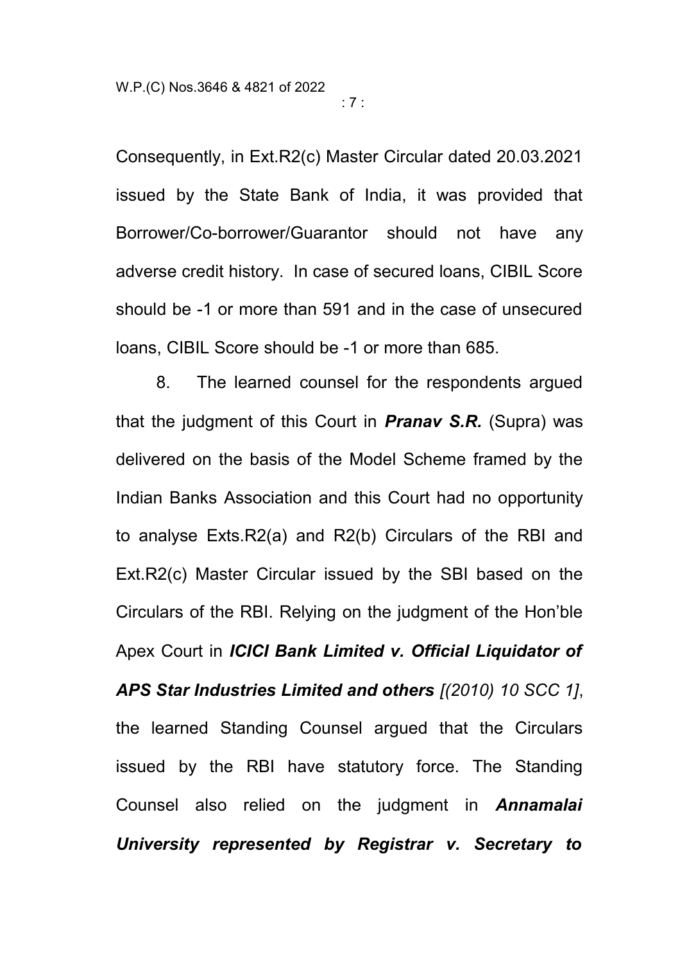Consequently, in Ext.R2(c) Master Circular dated 20.03.2021 issued by the State Bank of India, it was provided that Borrower/Co-borrower/Guarantor should not have any adverse credit history. In case of secured loans, CIBIL Score should be -1 or more than 591 and in the case of unsecured loans, CIBIL Score should be -1 or more than 685.

8. The learned counsel for the respondents argued that the judgment of this Court in *Pranav S.R.* (Supra) was delivered on the basis of the Model Scheme framed by the Indian Banks Association and this Court had no opportunity to analyse Exts.R2(a) and R2(b) Circulars of the RBI and Ext.R2(c) Master Circular issued by the SBI based on the Circulars of the RBI. Relying on the judgment of the Hon'ble Apex Court in *ICICI Bank Limited v. Official Liquidator of APS Star Industries Limited and others [(2010) 10 SCC 1]*, the learned Standing Counsel argued that the Circulars issued by the RBI have statutory force. The Standing Counsel also relied on the judgment in *Annamalai University represented by Registrar v. Secretary to*

: 7 :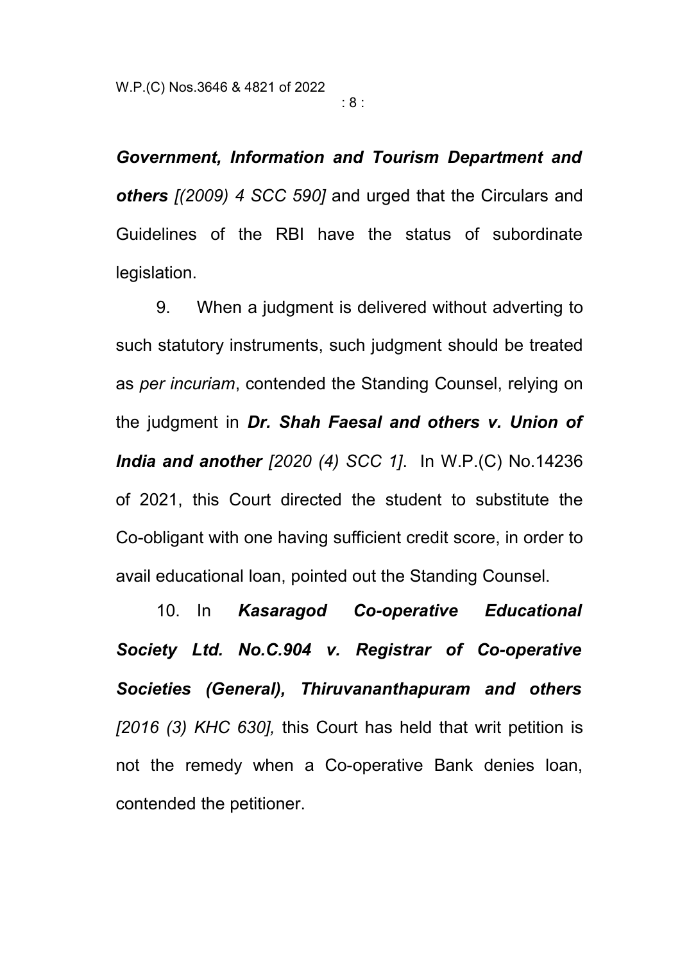: 8 :

*Government, Information and Tourism Department and others [(2009) 4 SCC 590]* and urged that the Circulars and Guidelines of the RBI have the status of subordinate legislation.

9. When a judgment is delivered without adverting to such statutory instruments, such judgment should be treated as *per incuriam*, contended the Standing Counsel, relying on the judgment in *Dr. Shah Faesal and others v. Union of India and another [2020 (4) SCC 1]*. In W.P.(C) No.14236 of 2021, this Court directed the student to substitute the Co-obligant with one having sufficient credit score, in order to avail educational loan, pointed out the Standing Counsel.

10. In *Kasaragod Co-operative Educational Society Ltd. No.C.904 v. Registrar of Co-operative Societies (General), Thiruvananthapuram and others [2016 (3) KHC 630],* this Court has held that writ petition is not the remedy when a Co-operative Bank denies loan, contended the petitioner.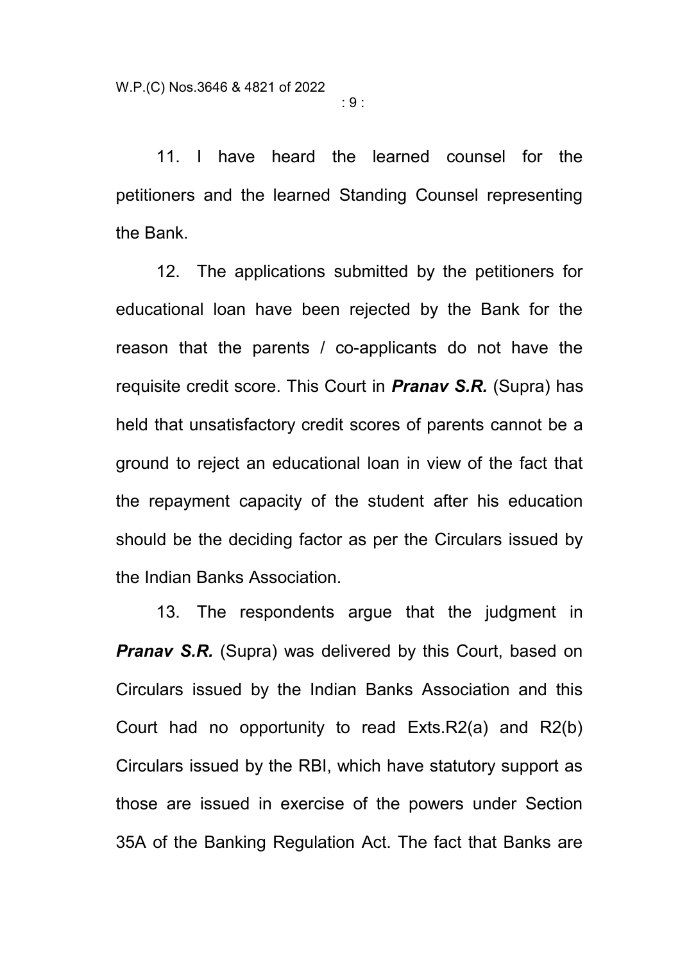11. I have heard the learned counsel for the petitioners and the learned Standing Counsel representing the Bank.

12. The applications submitted by the petitioners for educational loan have been rejected by the Bank for the reason that the parents / co-applicants do not have the requisite credit score. This Court in *Pranav S.R.* (Supra) has held that unsatisfactory credit scores of parents cannot be a ground to reject an educational loan in view of the fact that the repayment capacity of the student after his education should be the deciding factor as per the Circulars issued by the Indian Banks Association.

13. The respondents argue that the judgment in *Pranav S.R.* (Supra) was delivered by this Court, based on Circulars issued by the Indian Banks Association and this Court had no opportunity to read Exts.R2(a) and R2(b) Circulars issued by the RBI, which have statutory support as those are issued in exercise of the powers under Section 35A of the Banking Regulation Act. The fact that Banks are

 $\cdot$  9  $\cdot$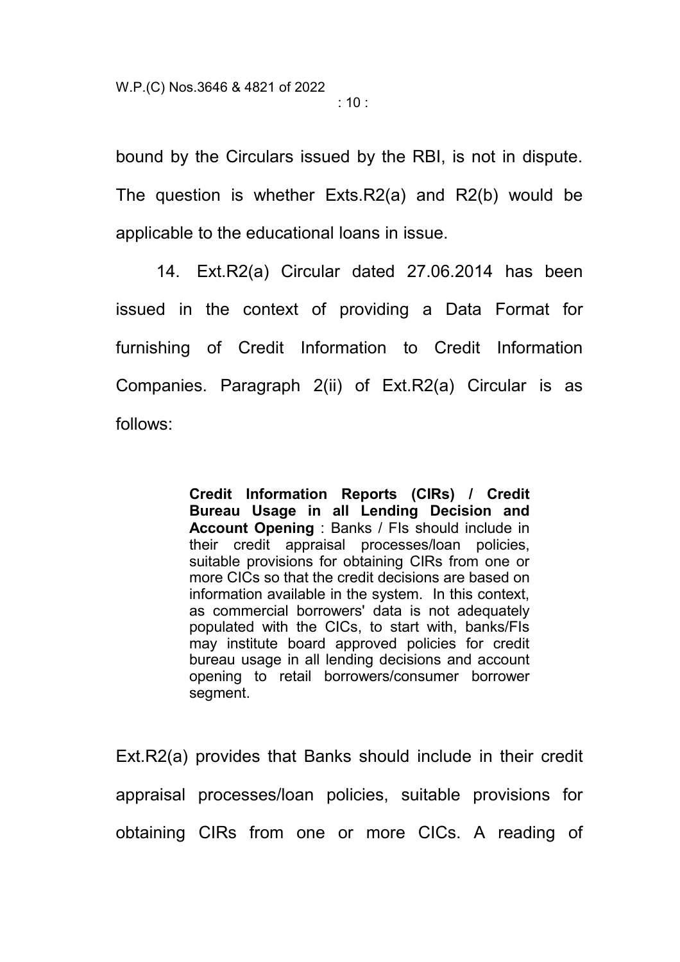:  $10:$ 

bound by the Circulars issued by the RBI, is not in dispute. The question is whether Exts.R2(a) and R2(b) would be applicable to the educational loans in issue.

14. Ext.R2(a) Circular dated 27.06.2014 has been issued in the context of providing a Data Format for furnishing of Credit Information to Credit Information Companies. Paragraph 2(ii) of Ext.R2(a) Circular is as follows:

> **Credit Information Reports (CIRs) / Credit Bureau Usage in all Lending Decision and Account Opening** : Banks / FIs should include in their credit appraisal processes/loan policies, suitable provisions for obtaining CIRs from one or more CICs so that the credit decisions are based on information available in the system. In this context, as commercial borrowers' data is not adequately populated with the CICs, to start with, banks/FIs may institute board approved policies for credit bureau usage in all lending decisions and account opening to retail borrowers/consumer borrower segment.

Ext.R2(a) provides that Banks should include in their credit appraisal processes/loan policies, suitable provisions for obtaining CIRs from one or more CICs. A reading of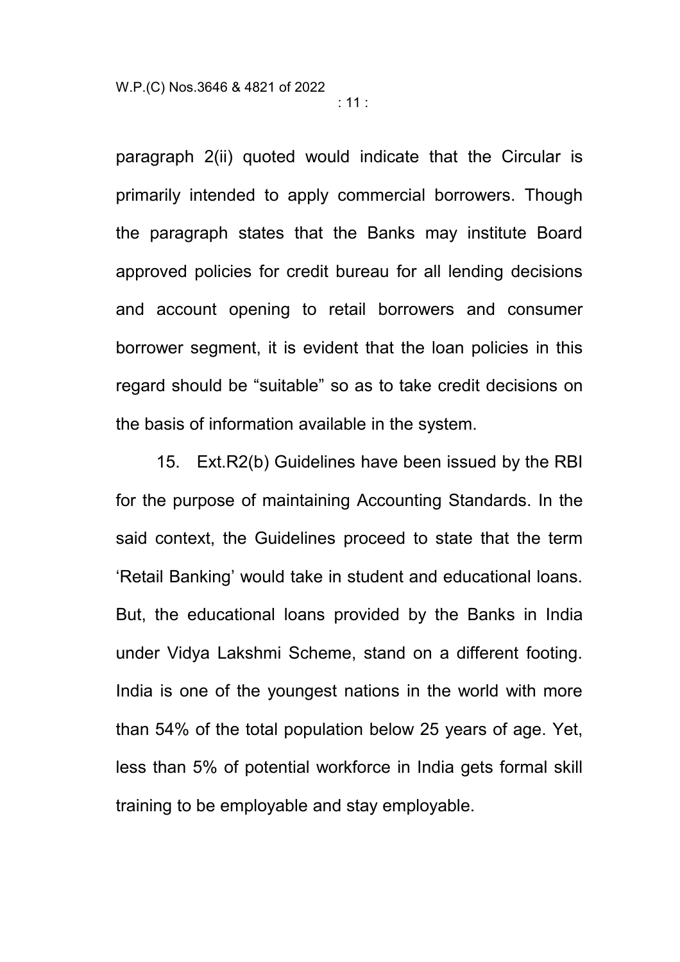: 11 :

paragraph 2(ii) quoted would indicate that the Circular is primarily intended to apply commercial borrowers. Though the paragraph states that the Banks may institute Board approved policies for credit bureau for all lending decisions and account opening to retail borrowers and consumer borrower segment, it is evident that the loan policies in this regard should be "suitable" so as to take credit decisions on the basis of information available in the system.

15. Ext.R2(b) Guidelines have been issued by the RBI for the purpose of maintaining Accounting Standards. In the said context, the Guidelines proceed to state that the term 'Retail Banking' would take in student and educational loans. But, the educational loans provided by the Banks in India under Vidya Lakshmi Scheme, stand on a different footing. India is one of the youngest nations in the world with more than 54% of the total population below 25 years of age. Yet, less than 5% of potential workforce in India gets formal skill training to be employable and stay employable.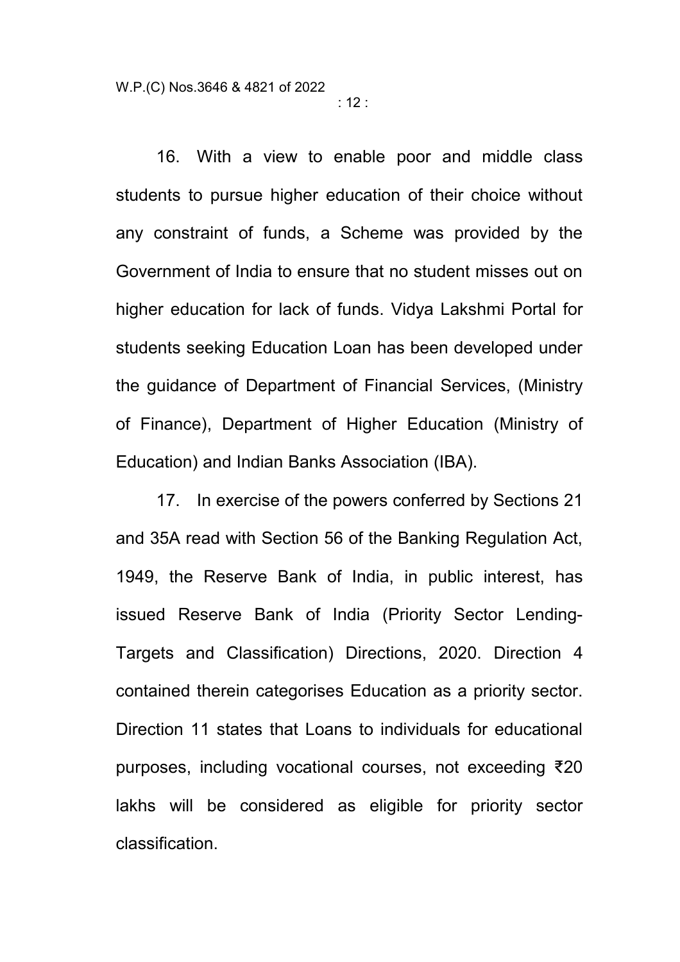16. With a view to enable poor and middle class students to pursue higher education of their choice without any constraint of funds, a Scheme was provided by the Government of India to ensure that no student misses out on higher education for lack of funds. Vidya Lakshmi Portal for students seeking Education Loan has been developed under the guidance of Department of Financial Services, (Ministry of Finance), Department of Higher Education (Ministry of Education) and Indian Banks Association (IBA).

17. In exercise of the powers conferred by Sections 21 and 35A read with Section 56 of the Banking Regulation Act, 1949, the Reserve Bank of India, in public interest, has issued Reserve Bank of India (Priority Sector Lending-Targets and Classification) Directions, 2020. Direction 4 contained therein categorises Education as a priority sector. Direction 11 states that Loans to individuals for educational purposes, including vocational courses, not exceeding ₹20 lakhs will be considered as eligible for priority sector classification.

: 12 :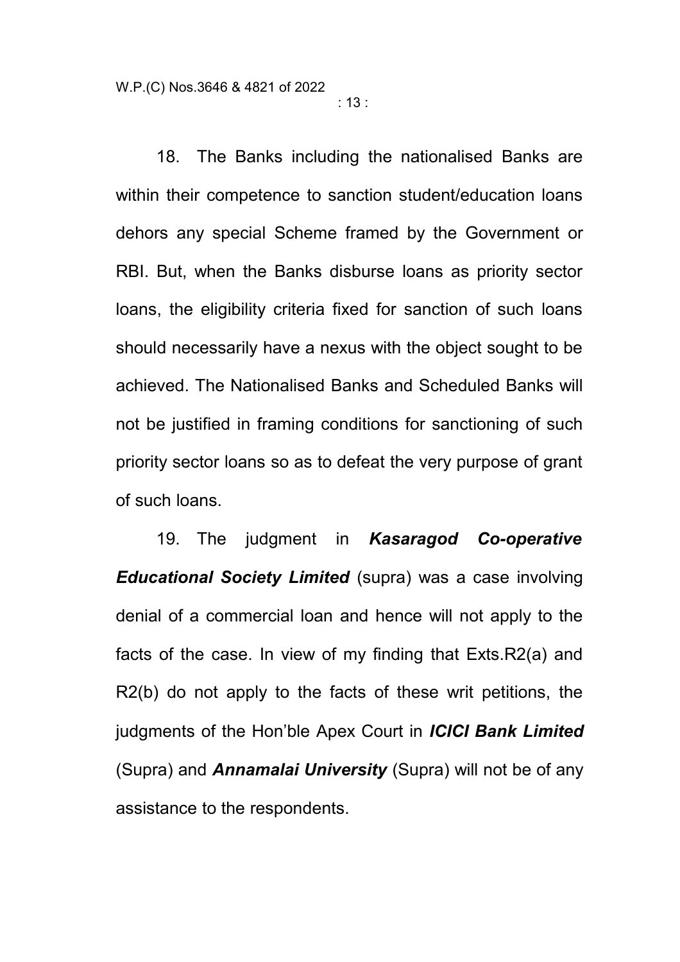: 13 :

18. The Banks including the nationalised Banks are within their competence to sanction student/education loans dehors any special Scheme framed by the Government or RBI. But, when the Banks disburse loans as priority sector loans, the eligibility criteria fixed for sanction of such loans should necessarily have a nexus with the object sought to be achieved. The Nationalised Banks and Scheduled Banks will not be justified in framing conditions for sanctioning of such priority sector loans so as to defeat the very purpose of grant of such loans.

19. The judgment in *Kasaragod Co-operative Educational Society Limited* (supra) was a case involving denial of a commercial loan and hence will not apply to the facts of the case. In view of my finding that Exts.R2(a) and R2(b) do not apply to the facts of these writ petitions, the judgments of the Hon'ble Apex Court in *ICICI Bank Limited* (Supra) and *Annamalai University* (Supra) will not be of any assistance to the respondents.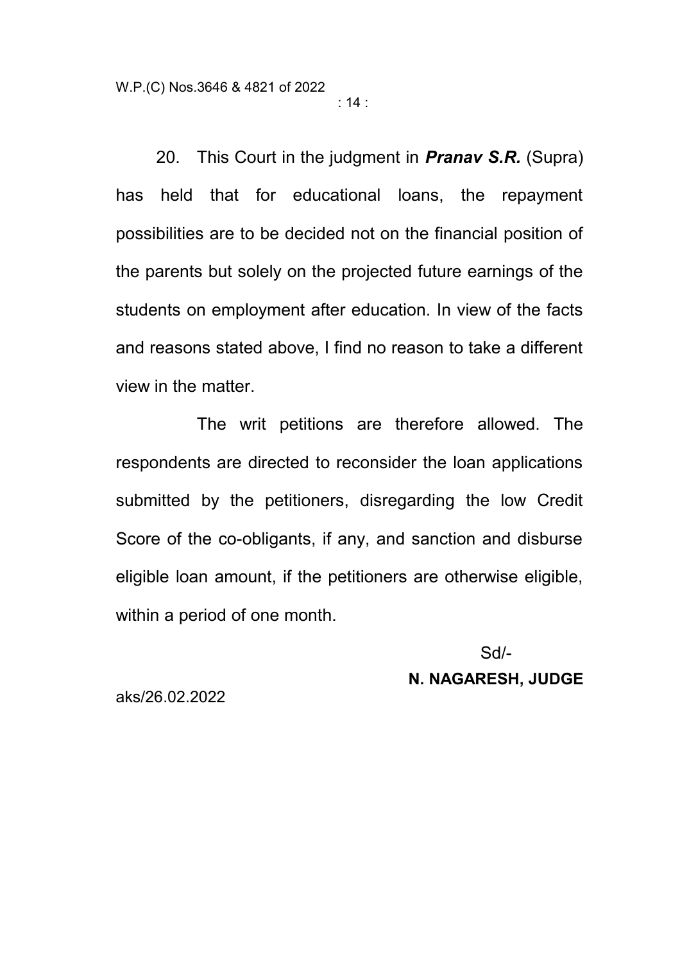: 14 :

20. This Court in the judgment in *Pranav S.R.* (Supra) has held that for educational loans, the repayment possibilities are to be decided not on the financial position of the parents but solely on the projected future earnings of the students on employment after education. In view of the facts and reasons stated above, I find no reason to take a different view in the matter.

The writ petitions are therefore allowed. The respondents are directed to reconsider the loan applications submitted by the petitioners, disregarding the low Credit Score of the co-obligants, if any, and sanction and disburse eligible loan amount, if the petitioners are otherwise eligible, within a period of one month.

> Sd/- **N. NAGARESH, JUDGE**

aks/26.02.2022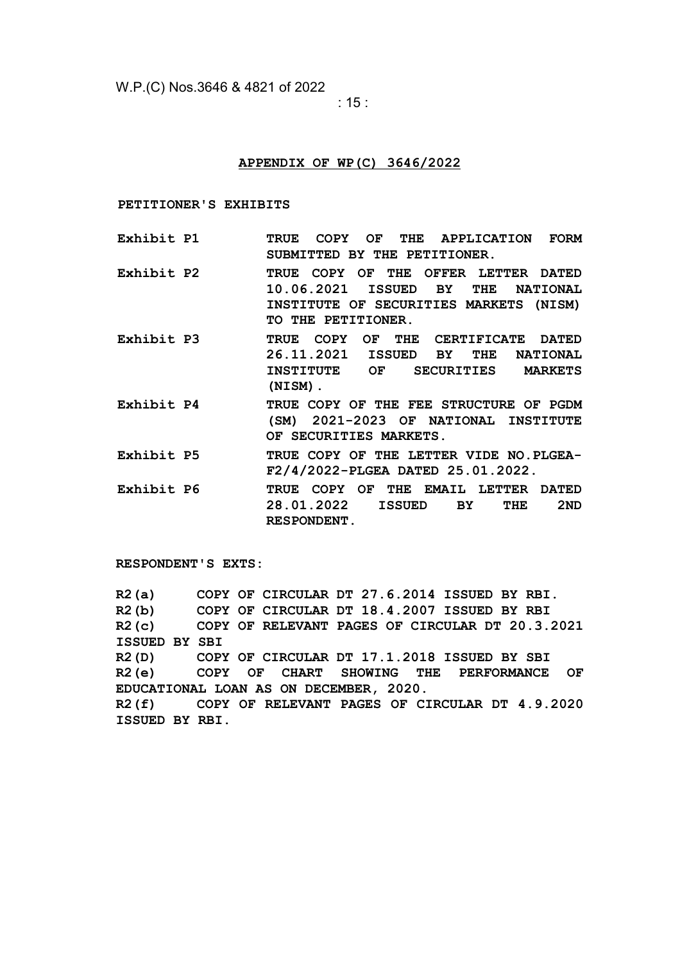W.P.(C) Nos.3646 & 4821 of 2022

: 15 :

#### **APPENDIX OF WP(C) 3646/2022**

**PETITIONER'S EXHIBITS**

- **Exhibit P1 TRUE COPY OF THE APPLICATION FORM SUBMITTED BY THE PETITIONER.**
- **Exhibit P2 TRUE COPY OF THE OFFER LETTER DATED 10.06.2021 ISSUED BY THE NATIONAL INSTITUTE OF SECURITIES MARKETS (NISM) TO THE PETITIONER.**
- **Exhibit P3 TRUE COPY OF THE CERTIFICATE DATED 26.11.2021 ISSUED BY THE NATIONAL INSTITUTE OF SECURITIES MARKETS (NISM).**
- **Exhibit P4 TRUE COPY OF THE FEE STRUCTURE OF PGDM (SM) 2021-2023 OF NATIONAL INSTITUTE OF SECURITIES MARKETS.**
- **Exhibit P5 TRUE COPY OF THE LETTER VIDE NO.PLGEA-F2/4/2022-PLGEA DATED 25.01.2022.**
- **Exhibit P6 TRUE COPY OF THE EMAIL LETTER DATED 28.01.2022 ISSUED BY THE 2ND RESPONDENT.**

**RESPONDENT'S EXTS:**

**R2(a) COPY OF CIRCULAR DT 27.6.2014 ISSUED BY RBI. R2(b) COPY OF CIRCULAR DT 18.4.2007 ISSUED BY RBI R2(c) COPY OF RELEVANT PAGES OF CIRCULAR DT 20.3.2021 ISSUED BY SBI R2(D) COPY OF CIRCULAR DT 17.1.2018 ISSUED BY SBI R2(e) COPY OF CHART SHOWING THE PERFORMANCE OF EDUCATIONAL LOAN AS ON DECEMBER, 2020. R2(f) COPY OF RELEVANT PAGES OF CIRCULAR DT 4.9.2020 ISSUED BY RBI.**